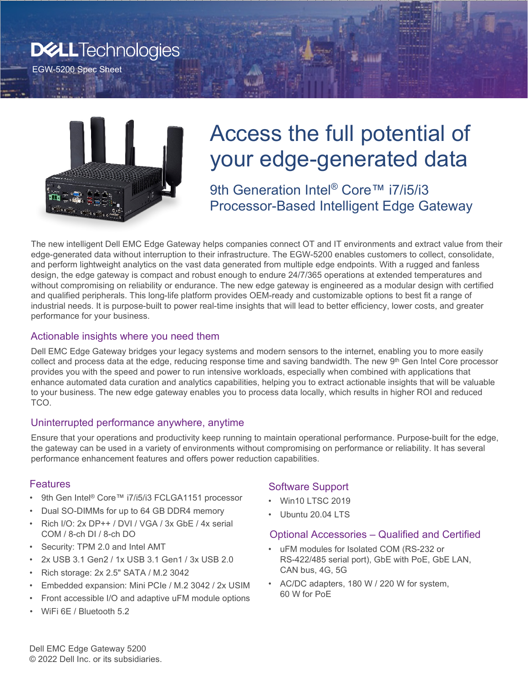# **D&LLTechnologies**

EGW-5200 Spec Sheet



# Access the full potential of your edge-generated data

9th Generation Intel<sup>®</sup> Core™ i7/i5/i3 Processor-Based Intelligent Edge Gateway

The new intelligent Dell EMC Edge Gateway helps companies connect OT and IT environments and extract value from their edge-generated data without interruption to their infrastructure. The EGW-5200 enables customers to collect, consolidate, and perform lightweight analytics on the vast data generated from multiple edge endpoints. With a rugged and fanless design, the edge gateway is compact and robust enough to endure 24/7/365 operations at extended temperatures and without compromising on reliability or endurance. The new edge gateway is engineered as a modular design with certified and qualified peripherals. This long-life platform provides OEM-ready and customizable options to best fit a range of industrial needs. It is purpose-built to power real-time insights that will lead to better efficiency, lower costs, and greater performance for your business.

#### Actionable insights where you need them

Dell EMC Edge Gateway bridges your legacy systems and modern sensors to the internet, enabling you to more easily collect and process data at the edge, reducing response time and saving bandwidth. The new  $9<sup>th</sup>$  Gen Intel Core processor provides you with the speed and power to run intensive workloads, especially when combined with applications that enhance automated data curation and analytics capabilities, helping you to extract actionable insights that will be valuable to your business. The new edge gateway enables you to process data locally, which results in higher ROI and reduced TCO.

## Uninterrupted performance anywhere, anytime

Ensure that your operations and productivity keep running to maintain operational performance. Purpose-built for the edge, the gateway can be used in a variety of environments without compromising on performance or reliability. It has several performance enhancement features and offers power reduction capabilities.

#### **Features**

- 9th Gen Intel® Core™ i7/i5/i3 FCLGA1151 processor
- Dual SO-DIMMs for up to 64 GB DDR4 memory
- Rich I/O: 2x DP++ / DVI / VGA / 3x GbE / 4x serial COM / 8-ch DI / 8-ch DO
- Security: TPM 2.0 and Intel AMT
- 2x USB 3.1 Gen2 / 1x USB 3.1 Gen1 / 3x USB 2.0
- Rich storage: 2x 2.5" SATA / M.2 3042
- Embedded expansion: Mini PCIe / M.2 3042 / 2x USIM
- Front accessible I/O and adaptive uFM module options
- WiFi 6E / Bluetooth 5.2

## Software Support

- Win10 LTSC 2019
- Ubuntu 20.04 LTS

#### Optional Accessories – Qualified and Certified

- uFM modules for Isolated COM (RS-232 or RS-422/485 serial port), GbE with PoE, GbE LAN, CAN bus, 4G, 5G
- AC/DC adapters, 180 W / 220 W for system, 60 W for PoE